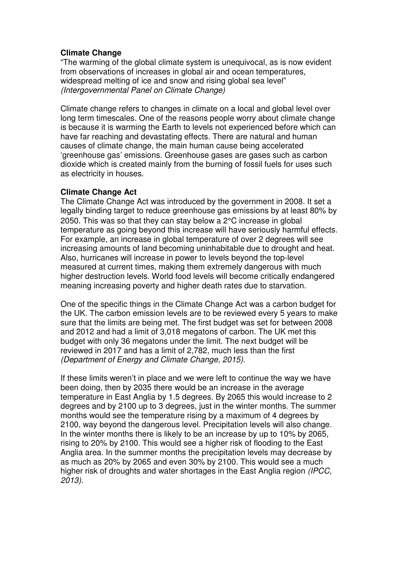# **Climate Change**

"The warming of the global climate system is unequivocal, as is now evident from observations of increases in global air and ocean temperatures, widespread melting of ice and snow and rising global sea level" (Intergovernmental Panel on Climate Change)

Climate change refers to changes in climate on a local and global level over long term timescales. One of the reasons people worry about climate change is because it is warming the Earth to levels not experienced before which can have far reaching and devastating effects. There are natural and human causes of climate change, the main human cause being accelerated 'greenhouse gas' emissions. Greenhouse gases are gases such as carbon dioxide which is created mainly from the burning of fossil fuels for uses such as electricity in houses.

## **Climate Change Act**

The Climate Change Act was introduced by the government in 2008. It set a legally binding target to reduce greenhouse gas emissions by at least 80% by 2050. This was so that they can stay below a 2°C increase in global temperature as going beyond this increase will have seriously harmful effects. For example, an increase in global temperature of over 2 degrees will see increasing amounts of land becoming uninhabitable due to drought and heat. Also, hurricanes will increase in power to levels beyond the top-level measured at current times, making them extremely dangerous with much higher destruction levels. World food levels will become critically endangered meaning increasing poverty and higher death rates due to starvation.

One of the specific things in the Climate Change Act was a carbon budget for the UK. The carbon emission levels are to be reviewed every 5 years to make sure that the limits are being met. The first budget was set for between 2008 and 2012 and had a limit of 3,018 megatons of carbon. The UK met this budget with only 36 megatons under the limit. The next budget will be reviewed in 2017 and has a limit of 2,782, much less than the first (Department of Energy and Climate Change, 2015).

If these limits weren't in place and we were left to continue the way we have been doing, then by 2035 there would be an increase in the average temperature in East Anglia by 1.5 degrees. By 2065 this would increase to 2 degrees and by 2100 up to 3 degrees, just in the winter months. The summer months would see the temperature rising by a maximum of 4 degrees by 2100, way beyond the dangerous level. Precipitation levels will also change. In the winter months there is likely to be an increase by up to 10% by 2065, rising to 20% by 2100. This would see a higher risk of flooding to the East Anglia area. In the summer months the precipitation levels may decrease by as much as 20% by 2065 and even 30% by 2100. This would see a much higher risk of droughts and water shortages in the East Anglia region (IPCC, 2013).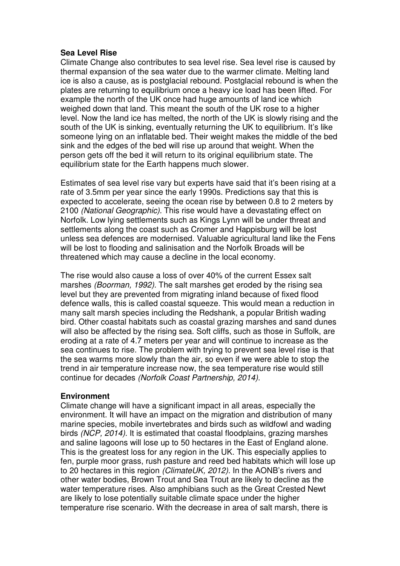### **Sea Level Rise**

Climate Change also contributes to sea level rise. Sea level rise is caused by thermal expansion of the sea water due to the warmer climate. Melting land ice is also a cause, as is postglacial rebound. Postglacial rebound is when the plates are returning to equilibrium once a heavy ice load has been lifted. For example the north of the UK once had huge amounts of land ice which weighed down that land. This meant the south of the UK rose to a higher level. Now the land ice has melted, the north of the UK is slowly rising and the south of the UK is sinking, eventually returning the UK to equilibrium. It's like someone lying on an inflatable bed. Their weight makes the middle of the bed sink and the edges of the bed will rise up around that weight. When the person gets off the bed it will return to its original equilibrium state. The equilibrium state for the Earth happens much slower.

Estimates of sea level rise vary but experts have said that it's been rising at a rate of 3.5mm per year since the early 1990s. Predictions say that this is expected to accelerate, seeing the ocean rise by between 0.8 to 2 meters by 2100 (National Geographic). This rise would have a devastating effect on Norfolk. Low lying settlements such as Kings Lynn will be under threat and settlements along the coast such as Cromer and Happisburg will be lost unless sea defences are modernised. Valuable agricultural land like the Fens will be lost to flooding and salinisation and the Norfolk Broads will be threatened which may cause a decline in the local economy.

The rise would also cause a loss of over 40% of the current Essex salt marshes (Boorman, 1992). The salt marshes get eroded by the rising sea level but they are prevented from migrating inland because of fixed flood defence walls, this is called coastal squeeze. This would mean a reduction in many salt marsh species including the Redshank, a popular British wading bird. Other coastal habitats such as coastal grazing marshes and sand dunes will also be affected by the rising sea. Soft cliffs, such as those in Suffolk, are eroding at a rate of 4.7 meters per year and will continue to increase as the sea continues to rise. The problem with trying to prevent sea level rise is that the sea warms more slowly than the air, so even if we were able to stop the trend in air temperature increase now, the sea temperature rise would still continue for decades (Norfolk Coast Partnership, 2014).

## **Environment**

Climate change will have a significant impact in all areas, especially the environment. It will have an impact on the migration and distribution of many marine species, mobile invertebrates and birds such as wildfowl and wading birds (NCP, 2014). It is estimated that coastal floodplains, grazing marshes and saline lagoons will lose up to 50 hectares in the East of England alone. This is the greatest loss for any region in the UK. This especially applies to fen, purple moor grass, rush pasture and reed bed habitats which will lose up to 20 hectares in this region (ClimateUK, 2012). In the AONB's rivers and other water bodies, Brown Trout and Sea Trout are likely to decline as the water temperature rises. Also amphibians such as the Great Crested Newt are likely to lose potentially suitable climate space under the higher temperature rise scenario. With the decrease in area of salt marsh, there is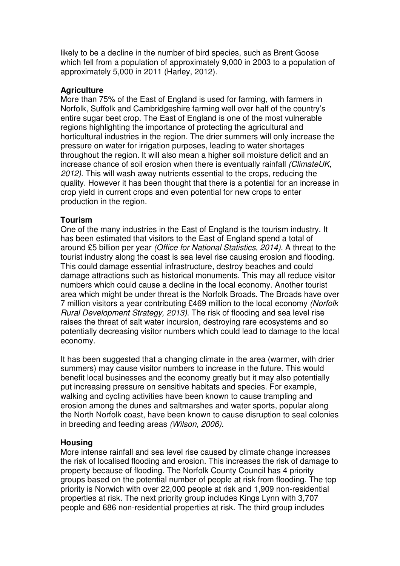likely to be a decline in the number of bird species, such as Brent Goose which fell from a population of approximately 9,000 in 2003 to a population of approximately 5,000 in 2011 (Harley, 2012).

### **Agriculture**

More than 75% of the East of England is used for farming, with farmers in Norfolk, Suffolk and Cambridgeshire farming well over half of the country's entire sugar beet crop. The East of England is one of the most vulnerable regions highlighting the importance of protecting the agricultural and horticultural industries in the region. The drier summers will only increase the pressure on water for irrigation purposes, leading to water shortages throughout the region. It will also mean a higher soil moisture deficit and an increase chance of soil erosion when there is eventually rainfall (ClimateUK, 2012). This will wash away nutrients essential to the crops, reducing the quality. However it has been thought that there is a potential for an increase in crop yield in current crops and even potential for new crops to enter production in the region.

## **Tourism**

One of the many industries in the East of England is the tourism industry. It has been estimated that visitors to the East of England spend a total of around £5 billion per year (Office for National Statistics, 2014). A threat to the tourist industry along the coast is sea level rise causing erosion and flooding. This could damage essential infrastructure, destroy beaches and could damage attractions such as historical monuments. This may all reduce visitor numbers which could cause a decline in the local economy. Another tourist area which might be under threat is the Norfolk Broads. The Broads have over 7 million visitors a year contributing £469 million to the local economy (Norfolk Rural Development Strategy, 2013). The risk of flooding and sea level rise raises the threat of salt water incursion, destroying rare ecosystems and so potentially decreasing visitor numbers which could lead to damage to the local economy.

It has been suggested that a changing climate in the area (warmer, with drier summers) may cause visitor numbers to increase in the future. This would benefit local businesses and the economy greatly but it may also potentially put increasing pressure on sensitive habitats and species. For example, walking and cycling activities have been known to cause trampling and erosion among the dunes and saltmarshes and water sports, popular along the North Norfolk coast, have been known to cause disruption to seal colonies in breeding and feeding areas (Wilson, 2006).

## **Housing**

More intense rainfall and sea level rise caused by climate change increases the risk of localised flooding and erosion. This increases the risk of damage to property because of flooding. The Norfolk County Council has 4 priority groups based on the potential number of people at risk from flooding. The top priority is Norwich with over 22,000 people at risk and 1,909 non-residential properties at risk. The next priority group includes Kings Lynn with 3,707 people and 686 non-residential properties at risk. The third group includes